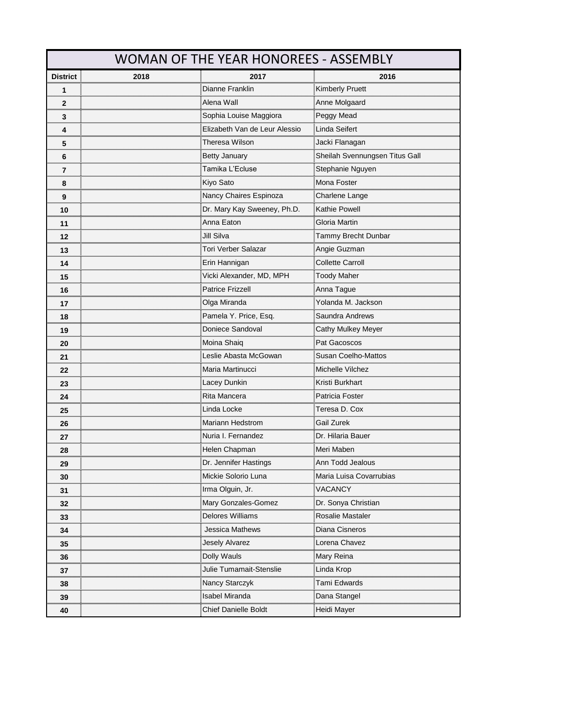|                       | WOMAN OF THE YEAR HONOREES - ASSEMBLY |                                                            |                                |  |
|-----------------------|---------------------------------------|------------------------------------------------------------|--------------------------------|--|
| <b>District</b>       | 2018                                  | 2017                                                       | 2016                           |  |
|                       |                                       | Dianne Franklin                                            | <b>Kimberly Pruett</b>         |  |
| $\mathbf{2}$          |                                       | Alena Wall                                                 | Anne Molgaard                  |  |
| 3                     |                                       | ,,,,,,,,,,,,,,,,,,,,,,,,,,,,,,,,<br>Sophia Louise Maggiora | Peggy Mead                     |  |
| 4                     |                                       | Elizabeth Van de Leur Alessio                              | Linda Seifert                  |  |
| 5                     |                                       | Theresa Wilson                                             | Jacki Flanagan                 |  |
| 6                     |                                       | <br><b>Betty January</b>                                   | Sheilah Svennungsen Titus Gall |  |
| 7                     |                                       | Tamika L'Ecluse                                            | Stephanie Nguyen               |  |
| <br>8                 |                                       | Kiyo Sato                                                  | Mona Foster                    |  |
| 9                     |                                       | Nancy Chaires Espinoza                                     | Charlene Lange                 |  |
| 10                    |                                       | Dr. Mary Kay Sweeney, Ph.D.                                | Kathie Powell                  |  |
| 11                    |                                       | Anna Eaton                                                 | <b>Gloria Martin</b>           |  |
| 12                    |                                       | Jill Silva                                                 | Tammy Brecht Dunbar            |  |
| 13                    |                                       | Tori Verber Salazar                                        | Angie Guzman                   |  |
| 14                    |                                       | Erin Hannigan                                              | <b>Collette Carroll</b>        |  |
| <br>15                |                                       | Vicki Alexander, MD, MPH                                   | <b>Toody Maher</b>             |  |
| 16                    |                                       | <b>Patrice Frizzell</b>                                    | <br>Anna Tague                 |  |
| 17                    |                                       | Olga Miranda                                               | Yolanda M. Jackson             |  |
| 18                    |                                       | Pamela Y. Price, Esq.                                      | Saundra Andrews                |  |
| 19<br>                |                                       | Doniece Sandoval                                           | <b>Cathy Mulkey Meyer</b>      |  |
| 20                    |                                       | Moina Shaiq                                                | Pat Gacoscos                   |  |
| 21                    |                                       | Leslie Abasta McGowan                                      | Susan Coelho-Mattos            |  |
| <br>22                |                                       | Maria Martinucci                                           | Michelle Vilchez               |  |
| 23<br>                |                                       | Lacey Dunkin                                               | Kristi Burkhart                |  |
| 24                    |                                       | Rita Mancera                                               | Patricia Foster                |  |
| 25<br>                |                                       | Linda Locke                                                | Teresa D. Cox                  |  |
| 26<br>,,,,,,,,,,,,,,, |                                       | Mariann Hedstrom                                           | Gail Zurek                     |  |
| 27                    |                                       | Nuria I. Fernandez                                         | Dr. Hilaria Bauer              |  |
| 28                    |                                       | Helen Chapman                                              | Meri Maben                     |  |
| 29                    |                                       | Dr. Jennirer Hastings                                      | Ann Todd Jealous               |  |
| 30                    |                                       | Mickie Solorio Luna                                        | Maria Luisa Covarrubias        |  |
| 31                    |                                       | Irma Olguin, Jr.                                           | VACANCY                        |  |
| 32                    |                                       | Mary Gonzales-Gomez                                        | Dr. Sonya Christian            |  |
| 33                    |                                       | Delores Williams                                           | Rosalie Mastaler               |  |
| <br>34                |                                       | Jessica Mathews                                            | Diana Cisneros                 |  |
| 35                    |                                       | <b>Jesely Alvarez</b>                                      | Lorena Chavez                  |  |
| 36                    |                                       | Dolly Wauls                                                | Mary Reina                     |  |
| 37                    |                                       | Julie Tumamait-Stenslie                                    | Linda Krop                     |  |
| 38                    |                                       | Nancy Starczyk                                             | Tami Edwards<br>               |  |
| 39                    |                                       | Isabel Miranda                                             | Dana Stangel                   |  |
| 40                    |                                       | <b>Chief Danielle Boldt</b>                                | Heidi Mayer                    |  |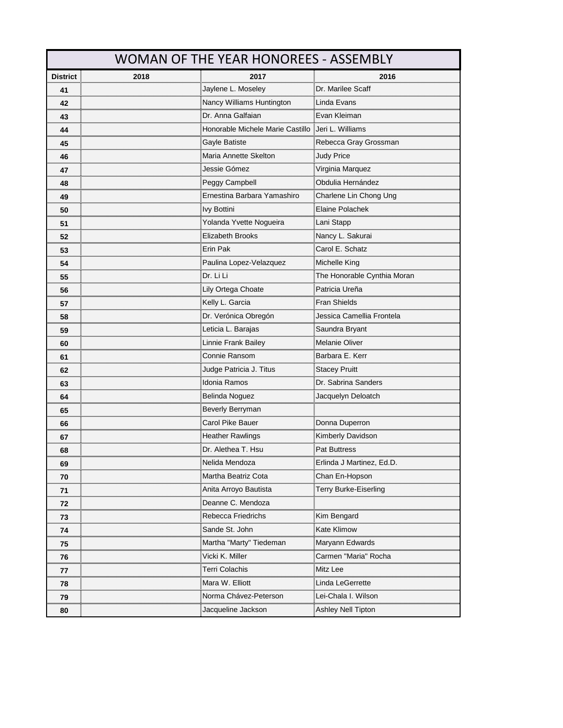|                    | WOMAN OF THE YEAR HONOREES - ASSEMBLY |                                                                                         |                             |  |
|--------------------|---------------------------------------|-----------------------------------------------------------------------------------------|-----------------------------|--|
| <b>District</b>    | 2018                                  | 2017                                                                                    | 2016                        |  |
| 41                 |                                       | Jaylene L. Moseley                                                                      | Dr. Marilee Scaff           |  |
| <br>42             |                                       | Nancy Williams Huntington                                                               | Linda Evans                 |  |
| <br>43             |                                       | Dr. Anna Galfaian                                                                       | Evan Kleiman                |  |
| 44                 |                                       | Honorable Michele Marie Castillo                                                        | : Jeri L. Williams          |  |
| 45                 |                                       | Gayle Batiste                                                                           | Rebecca Gray Grossman       |  |
| 46                 |                                       | Maria Annette Skelton                                                                   | <b>Judy Price</b>           |  |
| 47                 |                                       | Jessie Gómez                                                                            |                             |  |
| <br>48             |                                       |                                                                                         | Obdulia Hernández           |  |
| <br>49             |                                       | Ernestina Barbara Yamashiro                                                             | Charlene Lin Chong Ung      |  |
| 50                 |                                       | lvy Bottini                                                                             | Elaine Polachek             |  |
| 51                 |                                       | Yolanda Yvette Nogueira                                                                 | Lani Stapp                  |  |
| <br>52             |                                       | Elizabeth Brooks                                                                        | <br>Nancy L. Sakurai        |  |
| ,,,,,,,,,,,,<br>53 |                                       | Erin Pak                                                                                | Carol E. Schatz             |  |
| 54                 |                                       | Paulina Lopez-Velazquez                                                                 | Michelle King               |  |
| <br>55             |                                       | Dr. Li Li                                                                               | The Honorable Cynthia Moran |  |
| 56                 |                                       | Lily Ortega Choate                                                                      | Patricia Ureña              |  |
| 57                 |                                       | Kelly L. Garcia                                                                         | Fran Shields                |  |
| 58                 |                                       | Dr. Verónica Obregón                                                                    | Jessica Camellia Frontela   |  |
| <br>59             |                                       | <sub>-</sub> eticia L. Barajas                                                          | Saundra Bryant              |  |
| <br>60             |                                       |                                                                                         | Melanie Oliver              |  |
| 61                 |                                       | Connie Ransom                                                                           | Barbara E. Kerr             |  |
| <br>62             |                                       | Judge Patricia J. Titus                                                                 | Stacey Pruitt               |  |
| 63<br>             |                                       | Idonia Ramos                                                                            | Dr. Sabrina Sanders         |  |
| 64                 |                                       | Belinda Noguez                                                                          | Jacquelyn Deloatch          |  |
| 65                 |                                       | Beverly Berryman                                                                        |                             |  |
| 66<br>             |                                       | Carol Pike Bauer                                                                        | Donna Duperron              |  |
| 67                 |                                       | <b>Heather Rawlings</b>                                                                 | Kimberly Davidson           |  |
| 68                 |                                       | Dr. Alethea T. Hsu                                                                      | Pat Buttress                |  |
| 69                 |                                       | <b>Velida Mendoza</b>                                                                   | Erlinda J Martinez, Ed.D.   |  |
| 70                 |                                       | Martha Beatriz Cota                                                                     | Chan En-Hopson              |  |
| 71                 |                                       | Anita Arroyo Bautista                                                                   | Terry Burke-Eiserling       |  |
| 72                 |                                       | Deanne C. Mendoza                                                                       |                             |  |
| 73                 |                                       | Rebecca Friedrichs                                                                      | Kim Bengard                 |  |
| 74                 |                                       | Sande St. John                                                                          | Kate Klimow                 |  |
| 75                 |                                       | Martha "Marty" Tiedeman                                                                 | Maryann Edwards             |  |
| 76                 |                                       | ,,,,,,,,,,,,,,,,,,,,,,,,,,<br>Vicki K. Miller<br>,,,,,,,,,,,,,,,,,,,,,,,,,,,,,,,,,,,,,, | Carmen "Maria" Rocha        |  |
| 77                 |                                       | Terri Colachis                                                                          | Mitz Lee                    |  |
| 78                 |                                       | Mara W. Elliott                                                                         | Linda LeGerrette            |  |
| 79                 |                                       | Norma Chávez-Peterson                                                                   | Lei-Chala I. Wilson         |  |
| 80                 |                                       | Jacqueline Jackson                                                                      | Ashley Nell Tipton          |  |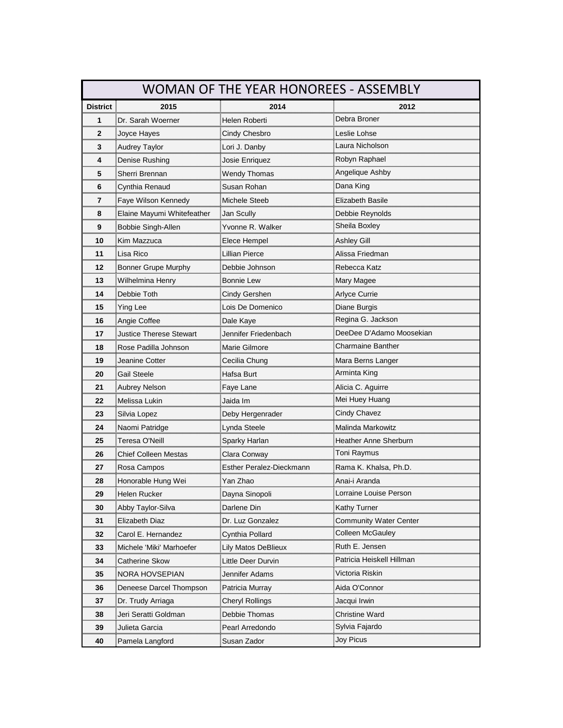| WOMAN OF THE YEAR HONOREES - ASSEMBLY |                                                 |                                                       |                                                         |
|---------------------------------------|-------------------------------------------------|-------------------------------------------------------|---------------------------------------------------------|
| <b>District</b>                       | 2015                                            | 2014                                                  | 2012                                                    |
| 1                                     | Dr. Sarah Woerner                               | Helen Roberti                                         | Debra Broner                                            |
| $\overline{2}$<br>mm                  | Joyce Hayes                                     | Cindy Chesbro                                         |                                                         |
| 3                                     | Audrey Taylor                                   |                                                       | Laura Nicholson<br>                                     |
| 4                                     | Denise Rushing                                  | Josie Enriquez                                        | Robyn Raphael                                           |
| 5                                     | Sherri Brennan                                  | Wendy Thomas                                          | Angelique Ashby                                         |
| 6                                     | Cynthia Renaud                                  | Susan Rohan<br>,,,,,,,,,,,,,,,,,,,,,,,,,,,,,,,,,,,    | Dana King<br>                                           |
| 7                                     | Faye Wilson Kennedy                             | Michele Steeb<br>,,,,,,,,,,,,,,,,,,,,,,,,,,,,,,,,,,   | Elizabeth Basile                                        |
| 8                                     | Elaine Mayumi Whitefeather                      | Jan Scully                                            | Debbie Reynolds                                         |
| 9<br>mm                               | Bobbie Singh-Allen                              | Yvonne R. Walker                                      | Sheila Boxley                                           |
| 10                                    | Kim Mazzuca                                     | Elece Hempel                                          | Ashley Gill                                             |
| 11                                    | Lisa Rico                                       | Lillian Pierce                                        | Alissa Friedman                                         |
| 12                                    | Bonner Grupe Murphy                             | Debbie Johnson                                        | Rebecca Katz                                            |
| 13<br>,,,,,,,,,,                      | Wilhelmina Henry                                | Bonnie Lew                                            | Mary Magee                                              |
| 14                                    | Debbie Toth<br>,,,,,,,,,,,,,,,,,,,,,,,,,,,,,,,, | Cindy Gershen                                         | Arlyce Currie                                           |
| 15                                    | Ying Lee                                        | Lois De Domenico                                      | Diane Burgis                                            |
| 16                                    | Angie Coffee                                    | Dale Kaye                                             | Regina G. Jackson                                       |
| 17                                    | <b>Justice Therese Stewart</b>                  | Jennifer Friedenbach                                  | DeeDee D'Adamo Moosekian                                |
| 18                                    | Rose Padilla Johnson                            | Marie Gilmore<br>,,,,,,,,,,,,,,,,,,,,,,,,,,,,,,,,,,,, | Charmaine Banther                                       |
| 19                                    | Jeanine Cotter                                  | Cecilia Chung                                         | Mara Berns Langer                                       |
| 20                                    | <b>Gail Steele</b>                              | Hafsa Burt                                            | Arminta King                                            |
| 21<br>,,,,,,,,,,,,,                   | Aubrey Nelson                                   |                                                       | Alicia C. Aguirre                                       |
| 22                                    | Melissa Lukin                                   | Jaida Im                                              | Mei Huey Huang                                          |
| 23                                    | Silvia Lopez                                    | Deby Hergenrader                                      | <b>Cindy Chavez</b>                                     |
| 24                                    | Naomi Patridge                                  | Lynda Steele                                          | Malinda Markowitz                                       |
| 25<br>                                | Teresa O'Neill                                  | Sparky Harlan                                         | Heather Anne Sherburn                                   |
| 26                                    | Chief Colleen Mestas                            | Clara Conway                                          | Toni Raymus                                             |
| 27                                    | Rosa Campos                                     | <b>Esther Peralez-Dieckmann</b>                       | Rama K. Khalsa, Ph.D.                                   |
| 28                                    | Honorable Hung Wei                              | Yan Zhao                                              | Anai-i Aranda                                           |
| 29                                    | Helen Rucker                                    | Dayna Sinopoli                                        | Lorraine Louise Person                                  |
| 30                                    | Abby Taylor-Silva                               | Darlene Din                                           | Kathy Turner                                            |
| 31                                    | Elizabeth Diaz                                  | Dr. Luz Gonzalez                                      | <b>Community Water Center</b>                           |
| 32                                    | Carol E. Hernandez                              | Cynthia Pollard                                       | Colleen McGauley                                        |
| 33                                    | Michele 'Miki' Marhoefer                        | Lily Matos DeBlieux                                   | Ruth E. Jensen<br>,,,,,,,,,,,,,,,,,,,,,,,,,,,,,,,,,,,,, |
| 34                                    | Catherine Skow                                  | Little Deer Durvin                                    | Patricia Heiskell Hillman                               |
| 35                                    | NORA HOVSEPIAN                                  |                                                       | Victoria Riskin                                         |
| 36                                    | Deneese Darcel Thompson                         |                                                       | Aida O'Connor                                           |
| 37                                    | Dr. Trudy Arriaga                               | Cheryl Rollings                                       | Jacqui Irwin                                            |
| 38                                    | Jeri Seratti Goldman                            | Debbie Thomas                                         | Christine Ward                                          |
| 39                                    | Julieta Garcia                                  | Pearl Arredondo                                       | Sylvia Fajardo                                          |
| 40                                    | Pamela Langford                                 | Susan Zador                                           | Joy Picus                                               |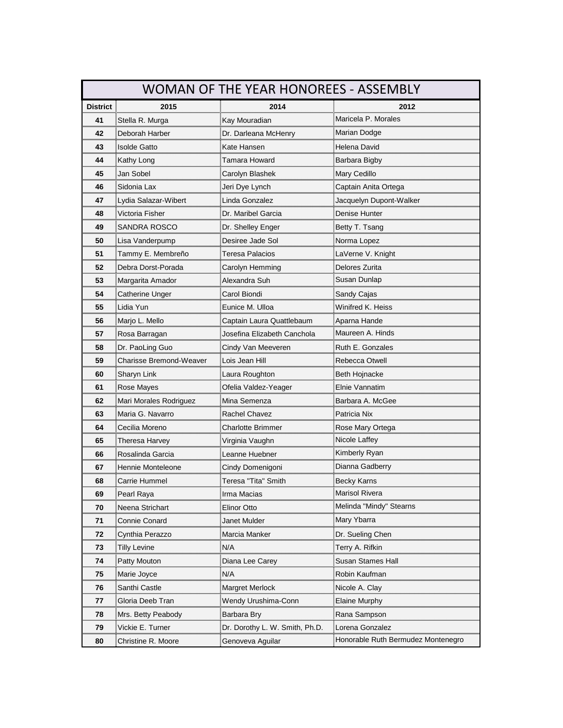| WOMAN OF THE YEAR HONOREES - ASSEMBLY |                        |                               |                                    |
|---------------------------------------|------------------------|-------------------------------|------------------------------------|
| <b>District</b>                       | 2015                   | 2014                          | 2012                               |
| 41                                    | Stella R. Murga        | Kay Mouradian                 | Maricela P. Morales                |
| 42                                    | Deborah Harber         | Dr. Darleana McHenry          | Marian Dodge                       |
| 43                                    | Isolde Gatto           | Kate Hansen                   | Helena David                       |
| 44                                    | Kathy Long             | Tamara Howard                 | Barbara Bigby                      |
| 45                                    | Jan Sobel              | Carolyn Blashek               | Mary Cedillo                       |
| 46                                    | Sidonia Lax            | Jeri Dye Lynch                | Captain Anita Ortega               |
| 47<br>                                | Lydia Salazar-Wibert   | Linda Gonzalez                | Jacquelyn Dupont-Walker            |
| 48                                    | Victoria Fisher        | Dr. Maribel Garcia            | Denise Hunter                      |
| 49<br>                                | SANDRA ROSCO           | Dr. Shelley Enger             | Betty T. Tsang                     |
| 50                                    | Lisa Vanderpump        | Desiree Jade Sol              | Norma Lopez                        |
| 51                                    | Tammy E. Membreño      | Teresa Palacios               | LaVerne V. Knight                  |
| 52                                    | Debra Dorst-Porada     | Carolyn Hemming               | Delores Zurita                     |
| 53<br>,,,,,,,,,                       | Margarita Amador       | Alexandra Suh                 | Susan Dunlap                       |
| 54<br>                                | Catherine Unger        | Carol Biondi<br>              | Sandy Cajas                        |
| 55                                    | Lidia Yun              | Eunice M. Ulloa               | Winifred K. Heiss                  |
| 56                                    | Marjo L. Mello         | Captain Laura Quattlebaum     | Aparna Hande                       |
| 57                                    | Rosa Barragan          | Josefina Elizabeth Canchola   | Maureen A. Hinds                   |
| 58                                    | Dr. PaoLing Guo        | Cindy Van Meeveren            | Ruth E. Gonzales                   |
| 59                                    | Charisse Bremond-Wea   | Lois Jean Hill                | Rebecca Otwell                     |
| 60                                    | Sharyn Link            | Laura Roughton                | Beth Hojnacke                      |
| 61<br>mmun                            | Rose Mayes             | Ofelia Valdez-Yeager          | Elnie Vannatim                     |
| 62                                    | Mari Morales Rodriguez | Mina Semenza                  | Barbara A. McGee                   |
| 63                                    | Maria G. Navarro       | Rachel Chavez                 | Patricia Nix                       |
| 64                                    | Cecilia Moreno         | Charlotte Brimmer             | Rose Mary Ortega                   |
| 65<br>                                | Theresa Harvey         | Virginia Vaughn               | Nicole Laffey                      |
| 66                                    | Rosalinda Garcia       | Leanne Huebner                | Kimberly Ryan                      |
| 67                                    | Hennie Monteleone      | Cindy Domenigoni              | Dianna Gadberry                    |
| 68                                    | Carrie Hummel          | Teresa "Tita" Smith           | Becky Karns                        |
| 69                                    | Pearl Raya             | Irma Macias                   | Marisol Rivera                     |
| 70                                    | Neena Strichart        | Elinor Otto                   | Melinda "Mindy" Stearns            |
| 71                                    | Connie Conard          | Janet Mulder                  | Mary Ybarra                        |
| 72                                    | Cynthia Perazzo        | Marcia Manker                 | Dr. Sueling Chen                   |
| 73                                    | Tilly Levine           | N/A                           | Terry A. Rifkin                    |
| 74                                    | Patty Mouton           | Diana Lee Carey               | <b>Susan Stames Hall</b>           |
| 75                                    | Marie Joyce            | N/A                           | Robin Kaufman                      |
| 76                                    | Santhi Castle          | Margret Merlock               | Nicole A. Clay                     |
| 77                                    | Gloria Deeb Tran       | Wendy Urushima-Conn           | Elaine Murphy                      |
| 78                                    | Mrs. Betty Peabody     | Barbara Bry                   | Rana Sampson                       |
| 79                                    | Vickie E. Turner<br>   | Dr. Dorothy L. W. Smith, Ph.D | Lorena Gonzalez                    |
| 80                                    | Christine R. Moore     | Genoveva Aguilar              | Honorable Ruth Bermudez Montenegro |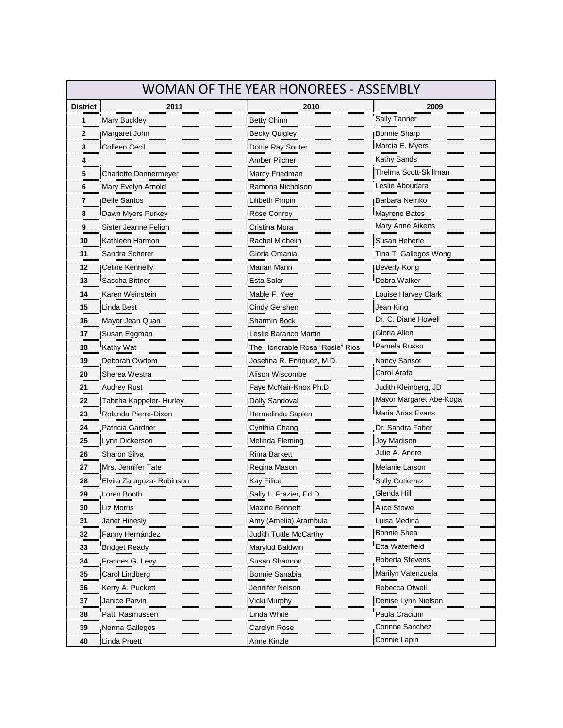|                  |                           | <b>WOMAN OF THE YEAR HONOREES - ASSEMBLY</b>            |                         |
|------------------|---------------------------|---------------------------------------------------------|-------------------------|
| <b>District</b>  | 2011                      | 2010                                                    | 2009                    |
| 1                | <b>Mary Buckley</b>       | ,,,,,,,,,,,,,,,,,,,,,,,,,,,,,,,,,<br><b>Betty Chinn</b> | Sally Tanner            |
| $\mathbf{2}$<br> | Margaret John             | Becky Quigley                                           | Bonnie Sharp            |
| 3                | Colleen Cecil             | Dottie Ray Souter                                       | Marcia E. Myers         |
| 4                |                           | Amber Pilcher                                           | Kathy Sands<br>         |
| 5                | Charlotte Donnermeyer     | Marcy Friedman                                          | Thelma Scott-Skillman   |
| 6                | Mary Evelyn Arnold        | Ramona Nicholson                                        | Leslie Aboudara         |
| 7<br>            | Belle Santos              | Lilibeth Pinpin                                         | Barbara Nemko           |
| 8                | Dawn Myers Purkey         | Rose Conroy                                             | Mayrene Bates           |
| 9                | Sister Jeanne Felion      | Cristina Mora                                           | Mary Anne Aikens        |
| 10               | Kathleen Harmon           | Rachel Michelin                                         | Susan Heberle           |
| 11               | Sandra Scherer            | Gloria Omania<br>,,,,,,,,,,,,,,,,,,,,,,,,,,,,,,,,,,,,   | Tina T. Gallegos Wong   |
| 12               | Celine Kennelly           | Marian Mann                                             | Beverly Kong            |
| 13               | Sascha Bittner            | Esta Soler                                              | Debra Walker            |
| 14               | Karen Weinstein           | Mable F. Yee                                            | Louise Harvey Clark     |
| 15               | Linda Best                | Cindy Gershen                                           | Jean King               |
| 16               | Mayor Jean Quan           | Sharmin Bock                                            | Dr. C. Diane Howell     |
| 17<br>           | Susan Eggman              | Leslie Baranco Martin                                   | Gloria Allen<br>        |
| 18<br>           | Kathy Wat                 | The Honorable Rosa "Rosie" Rios                         | Pamela Russo            |
| 19               | Deborah Owdom             | Josefina R. Enriquez, M.D.                              | Nancy Sansot            |
| 20               | Sherea Westra             | Alison Wiscombe                                         | Carol Arata             |
| 21<br>           | Audrey Rust               |                                                         | Judith Kleinberg, JD    |
| 22               | Tabitha Kappeler- Hurley  | Dolly Sandoval                                          | Mayor Margaret Abe-Koga |
| 23               | Rolanda Pierre-Dixon      | Hermelinda Sapien                                       | Maria Arias Evans       |
| 24<br>           | Patricia Gardner          | Cynthia Chang                                           | Dr. Sandra Fabeı        |
| 25               | Lynn Dickerson            | Melinda Fleming                                         | Joy Madison             |
| 26               | Sharon Silva              | Rima Barkett                                            | Julie A. Andre          |
| 27               | Mrs. Jennifer Tate        | Regina Mason                                            | Melanie Larson          |
| 28               | Elvira Zaragoza- Robinson | Kay Filice                                              | <b>Sally Gutierrez</b>  |
| 29               | Loren Booth               | Sally L. Frazier, Ed.D.                                 | enua <del>r</del> iii   |
| 30               | Liz Morris                | Maxine Bennett                                          | Alice Stowe             |
| 31<br>           | Janet Hinesly             | Amy (Amelia) Arambula                                   | Luisa Medina            |
| 32               | Fanny Hernández           | Judith Tuttle McCarthy                                  | Bonnie Shea             |
| 33               | <b>Bridget Ready</b>      | Marylud Baldwin                                         | Etta Waterfield         |
| 34               | Frances G. Levy           | Susan Shannon                                           | Roberta Stevens         |
| 35<br>mmu        | Carol Lindberg            | Bonnie Sanabia                                          |                         |
| 36               | Kerry A. Puckett          | Jennifer Nelson                                         | Rebecca Otwell          |
| 37               | Janice Parvin             | Vicki Murphy                                            | Denise Lynn Nielsen     |
| 38               | Patti Rasmussen           | Linda White                                             | Paula Cracium           |
| 39               | Norma Gallegos            | Carolyn Rose                                            | Corinne Sanchez         |
| 40               | Linda Pruett              | Anne Kinzle                                             | Connie Lapin            |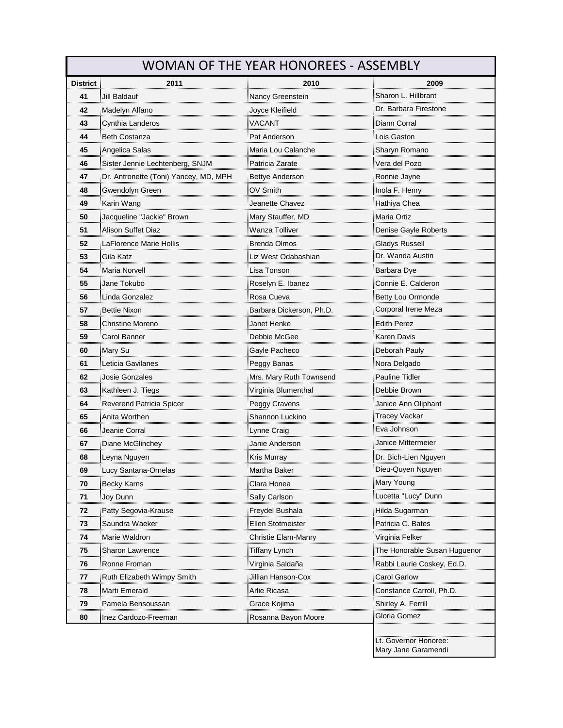| WOMAN OF THE YEAR HONOREES - ASSEMBLY |                                       |                         |                                              |
|---------------------------------------|---------------------------------------|-------------------------|----------------------------------------------|
| <b>District</b>                       | 2011                                  | 2010                    | 2009                                         |
| 41                                    | Jill Baldauf                          | Nancy Greenstein        | Sharon L. Hillbrant                          |
| 42                                    | Madelyn Alfano                        | Joyce Kleifield         | Dr. Barbara Firestone                        |
| 43<br>                                | Cynthia Landeros                      | VACANT                  | Diann Corral                                 |
| 44<br>                                | <b>Beth Costanza</b>                  | Pat Anderson            | Lois Gaston                                  |
| 45                                    | Angelica Salas                        | Maria Lou Calanche      | Sharyn Romano                                |
| 46                                    | Sister Jennie Lechtenberg, SNJM       | Patricia Zarate         | Vera del Pozo                                |
| 47<br>                                | Dr. Antronette (Toni) Yancey, MD, MPH | Bettye Anderson         | Ronnie Jayne                                 |
| 48                                    | Gwendolyn Green                       | OV Smith                | Inola F. Henry                               |
| 49                                    | Karin Wang                            | Jeanette Chavez         | Hathiya Chea                                 |
| 50<br>                                | Jacqueline "Jackie" Brown             | Mary Stauffer, MD       | Maria Ortiz                                  |
| 51                                    | Alison Suffet Diaz                    | Wanza Tolliver          | Denise Gayle Roberts                         |
| 52                                    | LaFlorence Marie Hollis               | <b>Brenda Olmos</b>     | Gladys Russell                               |
| 53                                    | Gila Katz                             | Liz West Odabashian     | Dr. Wanda Austin                             |
| 54<br>                                | Maria Norvell                         | Lisa Tonson             | Barbara Dye                                  |
| 55                                    | Jane Tokubo                           | Roselyn E. Ibanez       | Connie E. Calderon                           |
| 56                                    | Linda Gonzalez                        | Rosa Cueva              | Betty Lou Ormonde                            |
| 57<br>                                | Bettie Nixon                          | Barbara Dickerson, Ph.D | Corporal Irene Meza                          |
| 58                                    | <b>Christine Moreno</b>               | Janet Henke             | Edith Perez<br>                              |
| 59                                    | Carol Banner                          | Debbie McGee            | Karen Davis                                  |
| 60                                    | Mary Su                               | Gayle Pacheco           | Deborah Pauly                                |
| 61                                    | Leticia Gavilanes                     | Peggy Banas             | Nora Delgado                                 |
| 62<br>                                | Josie Gonzales                        | Mrs. Mary Ruth Townsend | Pauline Tidler                               |
| 63                                    | Kathleen J. Tiegs                     | Virginia Blumenthal     | Debbie Brown                                 |
| 64                                    | Reverend Patricia Spicer              | Peggy Cravens           | Janice Ann Oliphant                          |
| 65                                    | Anita Worthen                         | Shannon Luckino         | Tracey Vackar                                |
| 66<br>                                | Jeanie Corral                         | Lynne Craig             | Eva Johnson                                  |
| 67                                    | Diane McGlinchey                      | Janie Anderson          | Janice Mittermeier                           |
| 68                                    | Leyna Nguyen                          | Kris Murray             | Dr. Bich-Lien Nguyen                         |
| 69                                    |                                       | Martha Baker            | Dieu-Quyen Nguyen                            |
| 70                                    | <b>Becky Karns</b>                    | Clara Honea             | Mary Young                                   |
| 71                                    | Joy Dunn                              | Sally Carlson           | Lucetta "Lucy" Dunn                          |
| 72                                    | Patty Segovia-Krause                  | Freydel Bushala         | Hilda Sugarman                               |
| 73                                    | Saundra Waeker                        | Ellen Stotmeister       | Patricia C. Bates                            |
| 74                                    | Marie Waldron                         | Christie Elam-Manry     | Virginia Felker                              |
| 75                                    | Sharon Lawrence                       | Tiffany Lynch           | The Honorable Susan Huguenor                 |
| 76                                    | Ronne Froman                          | Virginia Saldaña        | Rabbi Laurie Coskey, Ed.D.                   |
| 77                                    | Ruth Elizabeth Wimpy Smith            | Jillian Hanson-Cox      | <b>Carol Garlow</b>                          |
| 78                                    | Marti Emerald                         | Arlie Ricasa            | Constance Carroll, Ph.D.                     |
| 79                                    | Pamela Bensoussan                     | Grace Kojima            | Shirley A. Ferrill                           |
| 80                                    | Inez Cardozo-Freeman                  | Rosanna Bayon Moore     | Gloria Gomez                                 |
|                                       |                                       |                         |                                              |
|                                       |                                       |                         | Lt. Governor Honoree:<br>Mary Jane Garamendi |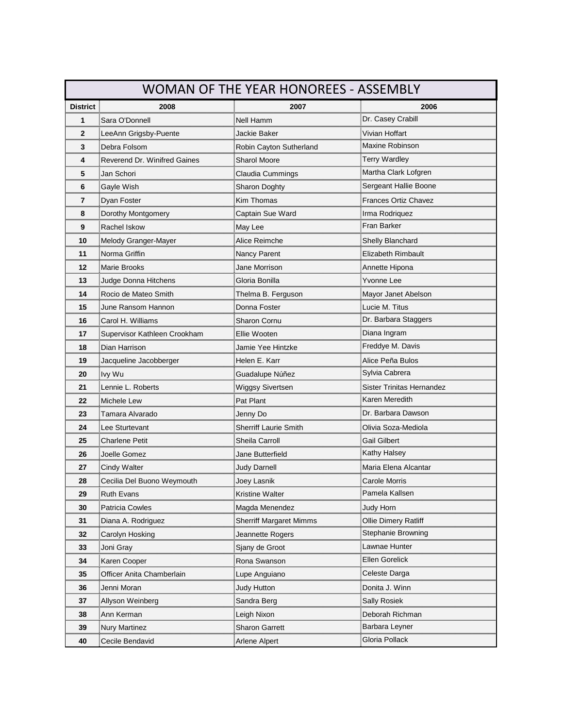| WOMAN OF THE YEAR HONOREES - ASSEMBLY |                              |                              |                                                                  |
|---------------------------------------|------------------------------|------------------------------|------------------------------------------------------------------|
| <b>District</b>                       | 2008                         | 2007                         | 2006<br>,,,,,,,,,,,,,,,,,,,,,,,,,,,,,,,,,,,,                     |
| 1                                     | Sara O'Donnell               | Nell Hamm                    | Dr. Casey Crabill                                                |
| $\mathbf{2}$<br>                      | LeeAnn Grigsby-Puente        | Jackie Baker                 | Vivian Hoffart                                                   |
| 3<br>                                 | Debra Folsom                 | Robin Cayton Sutherland      | Maxine Robinson                                                  |
| 4                                     | Reverend Dr. Winifred Gaines | Sharol Moore                 | Terry Wardley                                                    |
| 5                                     | Jan Schori                   | Claudia Cummings             | Martha Clark Lofgren                                             |
| 6                                     | Gayle Wish                   | Sharon Doghty                | Sergeant Hallie Boone                                            |
| 7                                     | Dyan Foster                  | Kim Thomas                   | <b>Frances Ortiz Chavez</b>                                      |
| 8                                     | Dorothy Montgomery           | Captain Sue Ward             | Irma Rodriquez                                                   |
| 9<br>                                 | Rachel Iskow                 | May Lee                      | Fran Barker                                                      |
| 10<br>                                | Melody Granger-Mayer         | Alice Reimche                | Shelly Blanchard                                                 |
| 11                                    | Norma Griffin                | Nancy Parent                 | Elizabeth Rimbault                                               |
| 12                                    | <b>Marie Brooks</b>          | <b>Jane Morrison</b>         | Annette Hipona                                                   |
| 13                                    | Judge Donna Hitchens         | Gloria Bonilla               | Yvonne Lee                                                       |
| 14                                    | Rocio de Mateo Smith         | Thelma B. Ferguson           | Mayor Janet Abelson                                              |
| 15                                    | June Ransom Hannon           | Donna Foster                 | Lucie M. Titus                                                   |
| 16                                    | Carol H. Williams            | <b>Sharon Cornu</b>          | Dr. Barbara Staggers                                             |
| 17<br>                                | Supervisor Kathleen Crookham | Ellie Wooten                 | Diana Ingram                                                     |
| 18<br>                                | Dian Harrison                | Jamie Yee Hintzke            | Freddye M. Davis<br>                                             |
| 19                                    | Jacqueline Jacobberger       | Helen E. Karr                | Alice Peña Bulos                                                 |
| 20                                    | Ivy Wu                       | Guadalupe Núñez              | Sylvia Cabrera                                                   |
| 21<br>                                | Lennie L. Roberts            | Wiggsy Sivertsen             | <b>Sister Trinitas Hernandez</b>                                 |
| 22                                    | Michele Lew                  | Pat Plant                    | Karen Meredith                                                   |
| 23                                    | Tamara Alvarado              | Jenny Do                     | Dr. Barbara Dawson                                               |
| 24<br>                                | Lee Sturtevant               | <b>Sherriff Laurie Smith</b> | Olivia Soza-Mediola                                              |
| 25                                    | Charlene Petit               | Sheila Carroll               | Gail Gilbert                                                     |
| 26                                    | Joelle Gomez                 | Jane Butterfield             | Kathy Halsey                                                     |
| 27                                    | Cindy Walter                 | Judy Darnell                 | Maria Elena Alcantar                                             |
| 28                                    | Cecilia Del Buono Weymouth   |                              | Carole Morris                                                    |
|                                       | <b>Ruth Evans</b>            | Kristine Walter              | Pamela Kallsen<br><u> ជិតអោយសារយោគអោយអោយអោយអោយអោយអោយអោយអោយអា</u> |
| 30                                    | <b>Patricia Cowles</b>       | Magda Menendez               | Judy Horn                                                        |
| 31                                    | Diana A. Rodriguez           | Sherriff Margaret Mimms      | Ollie Dimery Ratliff                                             |
| 32                                    | Carolyn Hosking              | Jeannette Rogers             | Stephanie Browning                                               |
| 33                                    | Joni Gray                    | Sjany de Groot               | Lawnae Hunter                                                    |
| 34                                    | Karen Cooper                 | Rona Swanson                 | Ellen Gorelick                                                   |
| 35                                    | Officer Anita Chamberlain    | Lupe Anguiano                | Celeste Darga                                                    |
| 36                                    |                              | Judy Hutton                  | Donita J. Winn                                                   |
| 37                                    | Allyson Weinberg             | Sandra Berg                  | Sally Rosiek                                                     |
| 38                                    | Ann Kerman                   | Leigh Nixon                  | Deborah Richman                                                  |
| 39                                    | Nury Martinez                | Sharon Garrett               | Barbara Leyner                                                   |
| 40                                    | Cecile Bendavid              | Arlene Alpert                | Gloria Pollack                                                   |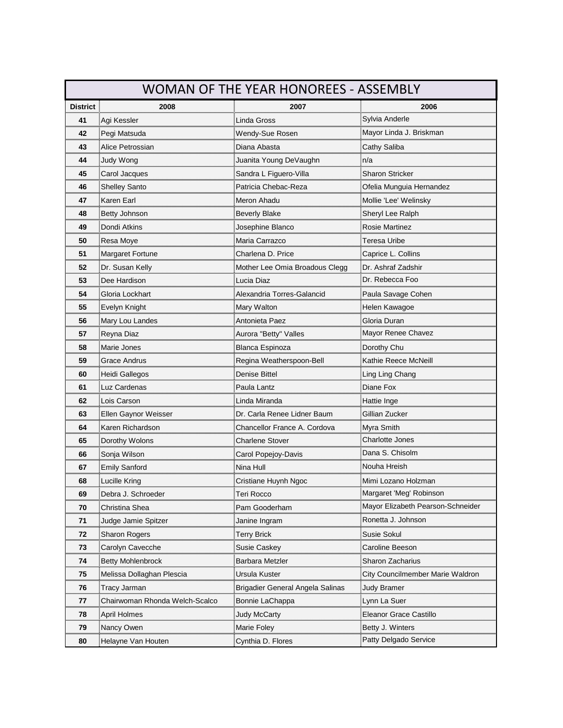| <b>WOMAN OF THE YEAR HONOREES - ASSEMBLY</b> |                                |                                                     |                                   |
|----------------------------------------------|--------------------------------|-----------------------------------------------------|-----------------------------------|
| <b>District</b>                              | 2008                           | 2007                                                | 2006                              |
| 41                                           | Agi Kessler                    | Linda Gross                                         | Sylvia Anderle                    |
| 42<br>                                       | Pegi Matsuda                   | Wendy-Sue Rosen                                     | Mayor Linda J. Briskma            |
| 43                                           | Alice Petrossian               | Diana Abasta                                        | Cathy Saliba                      |
| 44                                           | Judy Wong                      | Juanita Young DeVaughn                              | n/a                               |
| 45                                           | Carol Jacques                  | Sandra L Figuero-Villa                              | Sharon Stricker                   |
| 46                                           | Shelley Santo                  | Patricia Chebac-Reza                                | Ofelia Munguia Hernandez          |
| 47<br>mmun                                   | Karen Earl                     | Meron Ahadu<br>,,,,,,,,,,,,,,,,,,,,,,,,,,,,,,,,,,,, | Mollie 'Lee' Welinsky             |
| 48                                           | Betty Johnson                  | <b>Beverly Blake</b>                                | Sheryl Lee Ralph                  |
| 49<br>                                       | Dondi Atkins                   | Josephine Blanco                                    | Rosie Martinez                    |
| 50                                           | Resa Moye                      | Maria Carrazco                                      | Teresa Uribe                      |
| 51                                           | Margaret Fortune               | Charlena D. Price                                   | Caprice L. Collins                |
| 52                                           | Dr. Susan Kelly                | Mother Lee Omia Broadous Clegg                      | Dr. Ashraf Zadshir                |
| 53                                           | Dee Hardison                   | Lucia Diaz                                          | Dr. Rebecca Foo                   |
| 54                                           | Gloria Lockhart                | Alexandria Torres-Galancid                          | Paula Savage Cohen                |
| 55                                           | Evelyn Knight                  | Mary Walton                                         | Helen Kawagoe                     |
| 56                                           | Mary Lou Landes                | Antonieta Paez                                      | Gloria Duran                      |
| 57<br>                                       | Reyna Diaz                     | Aurora "Betty" Valles                               | Mayor Renee Chavez                |
| 58<br>,,,,,,,,,,,                            | Marie Jones                    | Blanca Espinoza                                     | Dorothy Chu                       |
| 59                                           | Grace Andrus                   | Regina Weatherspoon-Bell                            | Kathie Reece McNeill              |
| 60                                           | Heidi Gallegos                 | Denise Bittel                                       | Ling Ling Chang                   |
| 61<br>                                       | Luz Cardenas                   | Paula Lantz<br>                                     | Diane Fox<br>                     |
| 62                                           | Lois Carson                    | Linda Miranda                                       | Hattie Inge                       |
| 63                                           | Ellen Gaynor Weisser           | Dr. Carla Renee Lidner Baum                         | Gillian Zucker                    |
| 64<br>,,,,,,,,,,,,,                          | Karen Richardson               | <b>Chancellor France A. Cordova</b>                 | Myra Smith                        |
| 65                                           | Dorothy Wolons                 | <b>Charlene Stover</b>                              | Charlotte Jones                   |
| 66                                           | Sonja Wilson                   | Carol Popejoy-Davis                                 | Dana S. Chisolm                   |
| 67                                           | <b>Emily Sanford</b>           | Nina Hull                                           | Nouha Hreish                      |
| 68                                           | Lucille Kring                  | Cristiane Huynh Ngoc                                | Mimi Lozano Holzman               |
| 69                                           | Debra J. Schroeder             | Гегі Rocco                                          | Margaret 'Meg' Robinson           |
| 70                                           | Christina Shea                 | Pam Gooderham                                       | Mayor Elizabeth Pearson-Schneider |
| 71                                           | Judge Jamie Spitzer            | Janine Ingram                                       | Ronetta J. Johnson                |
| 72                                           | Sharon Rogers                  | Terry Brick                                         | Susie Sokul                       |
| 73                                           | Carolyn Cavecche               | Susie Caskey                                        | Caroline Beeson                   |
| 74                                           | <b>Betty Mohlenbrock</b>       | Barbara Metzler                                     | Sharon Zacharius                  |
| 75                                           | Melissa Dollaghan Plescia      | Ursula Kuster                                       | City Councilmember Marie Waldron  |
| 76                                           | Tracy Jarman                   | Brigadier General Angela Salinas                    | <b>Judy Bramer</b>                |
| 77                                           | Chairwoman Rhonda Welch-Scalco | Bonnie LaChappa                                     | Lynn La Suer                      |
| 78                                           | April Holmes                   | <b>Judy McCarty</b>                                 | Eleanor Grace Castillo            |
| 79                                           | Nancy Owen                     | Marie Foley                                         | Betty J. Winters                  |
| 80                                           | Helayne Van Houten             | Cynthia D. Flores                                   | Patty Delgado Service             |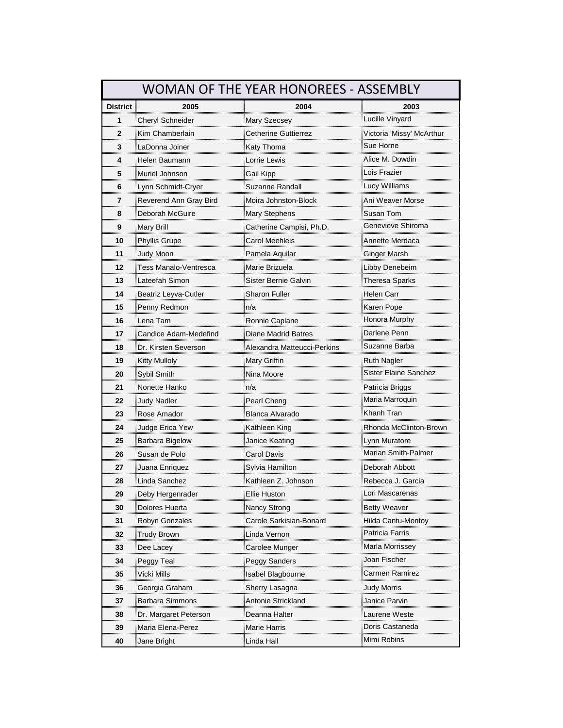|                 |                              | WOMAN OF THE YEAR HONOREES - ASSEMBLY |                           |
|-----------------|------------------------------|---------------------------------------|---------------------------|
| <b>District</b> | 2005                         | 2004                                  | 2003                      |
| 1               | Cheryl Schneider             | Mary Szecsey                          | Lucille Vinyard           |
| 2<br>           | Kim Chamberlain              | Cetherine Guttierrez                  | Victoria 'Missy' McArthur |
| 3               | LaDonna Joiner               | Katy Thoma                            | Sue Horne                 |
| mm<br>4         | Helen Baumann                | _orrie Lewis                          | Alice M. Dowdin           |
| 5               | Muriel Johnson               | Gail Kipp                             | Lois Frazier              |
| 6               | Lynn Schmidt-Cryer           | Suzanne Randall                       |                           |
| 7               | Reverend Ann Gray Bird       | Moira Johnston-Block                  | Ani Weaver Morse          |
| 8               | Deborah McGuire              | <b>Mary Stephens</b>                  | Susan Tom                 |
| 9<br>mm         | Mary Brill                   | Catherine Campisi, Ph.D               | Genevieve Shiroma         |
| 10              | Phyllis Grupe                | Carol Meehleis                        | Annette Merdaca           |
| 11<br>          | Judy Moon                    |                                       | Ginger Marsh              |
| 12              | <b>Tess Manalo-Ventresca</b> | Marie Brizuela                        | Libby Denebeim            |
| 13              | Lateefah Simon               | Sister Bernie Galvin                  | Theresa Sparks            |
| 14              | Beatriz Leyva-Cutler         | Sharon Fuller                         | Helen Carr                |
| 15              | Penny Redmon                 | n/a                                   | Karen Pope                |
| 16              | Lena Tam                     | Ronnie Caplane                        |                           |
| 17<br>          | Candice Adam-Medefind        | Diane Madrid Batres                   | Darlene Penn              |
| 18              | Dr. Kirsten Severson         | Alexandra Matteucci-Perkins           | Suzanne Barba             |
| 19              | Kitty Mulloly                | Mary Griffin                          | Ruth Nagler               |
| 20              | Sybil Smith                  | Nina Moore                            | Sister Elaine Sanchez     |
| 21              | Nonette Hanko                | n/a                                   | Patricia Briggs           |
| 22              | <b>Judy Nadler</b>           | Pearl Cheng                           | Maria Marroquin           |
| 23              | Rose Amador                  | Blanca Alvarado                       | Khanh Tran                |
| 24              | Judge Erica Yew              | Kathleen King                         | Rhonda McClinton-Brown    |
| 25              | Barbara Bigelow              | Janice Keating                        | Lynn Muratore             |
| 26              | Susan de Polo                | Carol Davis                           | Marian Smith-Palmer       |
| 27              | Juana Enriquez               | Sylvia Hamilton                       | Deborah Abbott            |
| 28              | Linda Sanchez                | Kathleen Z. Johnson                   | Rebecca J. Garcia         |
| 29              | Deby Hergenrader             | Ellie Huston                          | Lori Mascarenas           |
| 30              | Dolores Huerta               | Nancy Strong                          | Betty Weaver              |
| 31              | Robyn Gonzales               | Carole Sarkisian-Bonard               | Hilda Cantu-Montoy        |
| 32              | Trudy Brown                  | Linda Vernon                          | Patricia Farris           |
| 33              | Dee Lacey                    | Carolee Munger                        | Marla Morrissey           |
| 34              | Peggy Teal                   | Peggy Sanders                         | Joan Fischer              |
| 35              |                              | Isabel Blagbourne                     | Carmen Ramirez            |
| 36              | Georgia Graham               | Sherry Lasagna                        |                           |
| 37              | Barbara Simmons              | Antonie Strickland                    | Janice Parvin             |
| 38              | Dr. Margaret Peterson        | Deanna Halter                         | Laurene Weste             |
| 39              | Maria Elena-Perez            | Marie Harris                          | Doris Castaneda           |
| 40              | Jane Bright                  | Linda Hall                            | Mimi Robins               |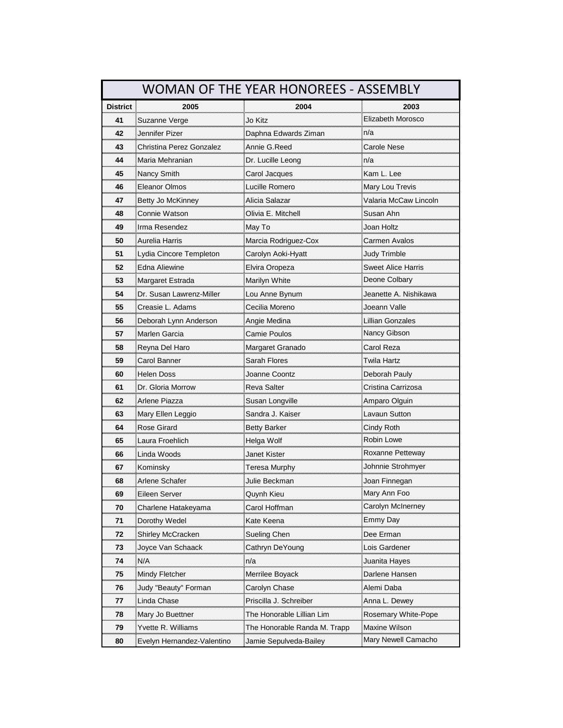|                          |                            | <b>WOMAN OF THE YEAR HONOREES - ASSEMBLY</b> |                                              |
|--------------------------|----------------------------|----------------------------------------------|----------------------------------------------|
| <b>District</b>          | 2005                       | 2004                                         | 2003                                         |
| 41                       | Suzanne Verge              | Jo Kitz                                      | Elizabeth Morosco                            |
| 42<br>                   | Jennifer Pizer             | Daphna Edwards Ziman                         | n/a                                          |
| 43                       | Christina Perez Gonzalez   | Annie G.Reed                                 | Carole Nese                                  |
| 44                       | Maria Mehranian            | Dr. Lucille Leong                            | n/a                                          |
| 45                       | Nancy Smith                | Carol Jacques                                | Kam L. Lee                                   |
| 46                       | <b>Eleanor Olmos</b>       | Lucille Romero                               | Mary Lou Trevis                              |
| 47                       | Betty Jo McKinney          | Alicia Salazar                               | Valaria McCaw Lincoln                        |
| 48                       | Connie Watson              | Olivia E. Mitchell                           | Susan Ahn                                    |
| 49                       | Irma Resendez              | May To                                       | Joan Holtz                                   |
| 50                       | Aurelia Harris             | Marcia Rodriguez-Cox                         | Carmen Avalos                                |
| 51                       | Lydia Cincore Templeton    | Carolyn Aoki-Hyatt                           | Judy Trimble                                 |
| 52                       | Edna Aliewine              | Elvira Oropeza                               | Sweet Alice Harris                           |
| 53                       | Margaret Estrada           | Marilyn White                                | Deone Colbary                                |
| 54                       | Dr. Susan Lawrenz-Miller   | Lou Anne Bynum                               | Jeanette A. Nishikawa                        |
| 55                       | Creasie L. Adams           | Cecilia Moreno                               | Joeann Valle                                 |
| 56                       | Deborah Lynn Anderson      | Angie Medina                                 | Lillian Gonzales                             |
| 57                       | Marlen Garcia              | Camie Poulos                                 | Nancy Gibson                                 |
| 58                       | Reyna Del Haro             | Margaret Granado                             | Carol Reza                                   |
| 59                       | Carol Banner               | Sarah Flores                                 | Twila Hartz                                  |
| 60                       | Helen Doss                 | Joanne Coontz                                | Deborah Pauly                                |
| 61                       | Dr. Gloria Morrow          | Reva Salter<br>,,,,,,,,,,,,,,,,,,,,,,,,,,,,, | Cristina Carrizosa                           |
| 62                       | Arlene Piazza              | Susan Longville                              | Amparo Olguin                                |
| 63                       | Mary Ellen Leggio          | Sandra J. Kaiser                             | Lavaun Sutton                                |
| 64                       | Rose Girard                | Betty Barker                                 | Cindy Roth                                   |
| 65                       | Laura Froehlich            | Helga Wolf                                   | Robin Lowe                                   |
| 66                       | Linda Woods                | Janet Kister                                 | Roxanne Petteway                             |
| 67                       | Kominsky                   | Teresa Murphy                                | Johnnie Strohmyer                            |
| 68                       | Arlene Schafer             | Julie Beckman                                | Joan Finnegan                                |
| 69<br>,,,,,,,,,,,,,,,,,, | <b>Eileen Server</b>       | Quynh Kieu                                   | Mary Ann Foo                                 |
| 70                       | Charlene Hatakeyama        | Carol Hoffman                                | Carolyn McInerney                            |
| 71                       | Dorothy Wedel              | Kate Keena                                   | Emmy Day                                     |
| 72                       | Shirley McCracken          | Sueling Chen                                 | Dee Erman                                    |
| 73                       | Joyce Van Schaack          | Cathryn DeYoung                              | Lois Gardener                                |
| 74                       | N/A                        | n/a                                          | Juanita Hayes                                |
| 75                       | Mindy Fletcher             | Merrilee Boyack                              | Darlene Hansen                               |
| 76                       | Judy "Beauty" Forman       |                                              | Alemi Daba<br>,,,,,,,,,,,,,,,,,,,,,,,,,,,,,, |
| 77                       | Linda Chase                | Priscilla J. Schreiber                       | Anna L. Dewey                                |
| 78                       | Mary Jo Buettner           | The Honorable Lillian Lim                    | Rosemary White-Pope                          |
| 79                       | Yvette R. Williams         | The Honorable Randa M. Trapp                 | Maxine Wilson                                |
| 80                       | Evelyn Hernandez-Valentino | Jamie Sepulveda-Bailey                       | Mary Newell Camacho                          |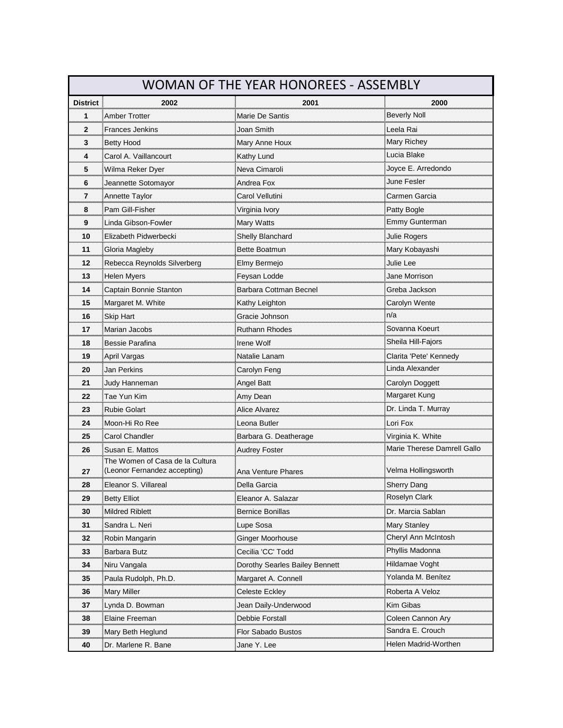|                     | WOMAN OF THE YEAR HONOREES - ASSEMBLY                   |                                |                                           |  |
|---------------------|---------------------------------------------------------|--------------------------------|-------------------------------------------|--|
| <b>District</b>     | 2002                                                    | 2001                           | 2000<br>,,,,,,,,,,,,,,,,,,,,,,,,,,,,,,,,, |  |
| 1                   | Amber Trotter<br>,,,,,,,,,,,,,,,,,,,,,,,,,,,,,,,,,,,,,, | Marie De Santis                | Beverly Noll                              |  |
| 2                   | Frances Jenkins                                         | Joan Smith                     | Leela Rai                                 |  |
| 3                   | <b>Betty Hood</b>                                       | Mary Anne Houx                 | Mary Richey                               |  |
| 4                   | Carol A. Vaillancourt                                   | Kathy Lund                     | Lucia Blake                               |  |
| 5                   | Wilma Reker Dyer                                        | Neva Cimaroli                  | Joyce E. Arredondo                        |  |
| <br>6               | Jeannette Sotomayor                                     | Andrea Fox                     | June Fesler                               |  |
| 7                   | Annette Taylor                                          | Carol Vellutini                | Carmen Garcia                             |  |
| 8                   | Pam Gill-Fisher                                         |                                | Patty Bogle                               |  |
| ,,,,,,,,,,,,,,<br>9 | Linda Gibson-Fowler                                     | Mary Watts                     | Emmy Gunterman                            |  |
| <br>10              | Elizabeth Pidwerbecki                                   | Shelly Blanchard               | Julie Rogers                              |  |
| 11                  |                                                         | Bette Boatmun                  | Mary Kobayashi                            |  |
| 12                  |                                                         | Elmy Bermejo                   | Julie Lee                                 |  |
| ,,,,,,,,,,,,<br>13  | <b>Helen Myers</b>                                      | Feysan Lodde                   | <br>Jane Morrison                         |  |
| 14                  | Captain Bonnie Stanton                                  | Barbara Cottman Becnel         | Greba Jackson                             |  |
| 15                  | Margaret M. White                                       | Kathy Leighton                 | Carolyn Wente                             |  |
| 16                  | Skip Hart                                               | Gracie Johnson                 | n/a                                       |  |
| 17                  | Marian Jacobs                                           | Ruthann Rhodes                 | Sovanna Koeurt                            |  |
| 18                  | Bessie Parafina                                         | Irene Wolf                     | Sheila Hill-Fajors                        |  |
| 19                  | April Vargas                                            | Natalie Lanam                  | Clarita 'Pete' Kennedy                    |  |
| <br>20              | Jan Perkins                                             | Carolyn Feng                   | Linda Alexander                           |  |
| 21                  | Judy Hanneman                                           | Angel Batt                     | Carolyn Doggett                           |  |
| 22                  | Tae Yun Kim                                             | Amy Dean                       | Margaret Kung                             |  |
| 23                  | Rubie Golart                                            | Alice Alvarez                  | Dr. Linda T. Murray                       |  |
| 24                  | Moon-Hi Ro Ree                                          | Leona Butler                   | Lori Fox                                  |  |
| 25                  | <b>Carol Chandler</b>                                   | Barbara G. Deatherage          | Virginia K. White                         |  |
| 26                  |                                                         | Audrey Foster                  | Marie Therese Damrell Gallo               |  |
|                     | The Women of Casa de la Cultura                         |                                |                                           |  |
| 27<br>              | (Leonor Fernandez accepting)                            | Ana Venture Phares             | Velma Hollingsworth                       |  |
| 28                  | Eleanor S. Villareal                                    | Della Garcia                   | Sherry Dang                               |  |
| 29                  | Betty Elliot                                            | Eleanor A. Salazar             | <b>Roselyn Clark</b>                      |  |
| 30                  | Mildred Riblett                                         | Bernice Bonillas               | Dr. Marcia Sablan                         |  |
| 31                  | Sandra L. Neri                                          | Lupe Sosa                      | <b>Mary Stanley</b>                       |  |
| 32                  | Robin Mangarin                                          | Ginger Moorhouse               | Cheryl Ann McIntosh                       |  |
| 33                  | Barbara Butz                                            | Cecilia 'CC' Todd              | Phyllis Madonna                           |  |
| 34                  |                                                         | Dorothy Searles Bailey Bennett | Hildamae Voght                            |  |
| 35                  | Paula Rudolph, Ph.D.                                    | Margaret A. Connell            | Yolanda M. Benítez                        |  |
| 36                  | Mary Miller                                             | Celeste Eckley                 | Roberta A Veloz                           |  |
| 37                  | <u>ynda D. Bowman.</u>                                  | Jean Daily-Underwood           | Kim Gibas                                 |  |
| 38                  | Elaine Freeman                                          | Debbie Forstall                | Coleen Cannon Ary                         |  |
| 39                  | Mary Beth Heglund                                       | Flor Sabado Bustos             | Sandra E. Crouch                          |  |
| 40                  | Dr. Marlene R. Bane                                     | Jane Y. Lee                    | Helen Madrid-Worthen                      |  |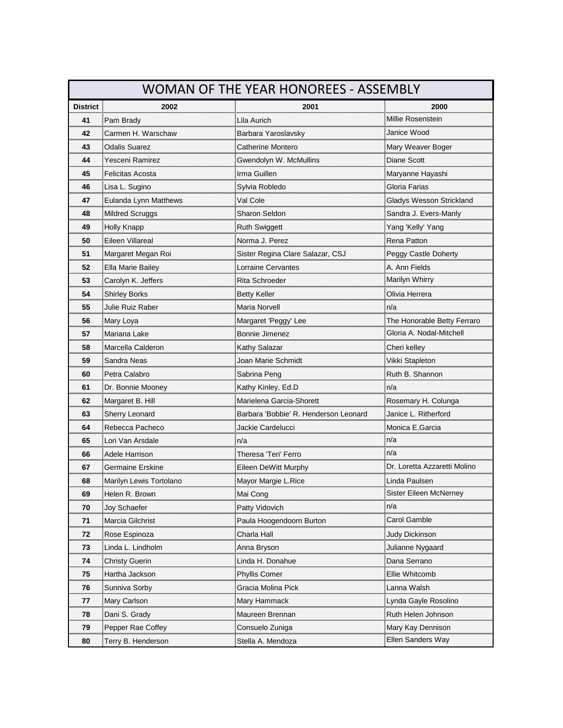|                  | <b>WOMAN OF THE YEAR HONOREES - ASSEMBLY</b> |                                       |                              |  |
|------------------|----------------------------------------------|---------------------------------------|------------------------------|--|
| <b>District</b>  | 2002                                         | 2001                                  | 2000                         |  |
| 41               | Pam Brady                                    | Lila Aurich                           | Millie Rosenstein            |  |
| 42<br>,,,,,,,,,, | Carmen H. Warschaw                           | Barbara Yaroslavsky                   | Janice Wood                  |  |
| 43               | Odalis Suarez                                | Catherine Montero                     | Mary Weaver Boger            |  |
| 44               | Yesceni Ramirez                              | Gwendolyn W. McMullins                | <b>Diane Scott</b>           |  |
| 45               | Felicitas Acosta                             | Irma Guillen                          | Maryanne Hayashi             |  |
| 46               | Lisa L. Sugino                               | Sylvia Robledo                        | Gloria Farias                |  |
| 47<br>mmm        | Eulanda Lynn Matthews                        | Val Cole<br>                          | Gladys Wesson Strickland     |  |
| 48               | Mildred Scruggs                              | Sharon Seldon                         | Sandra J. Evers-Manly        |  |
| 49               | Holly Knapp                                  | Ruth Swiggett                         | Yang 'Kelly' Yang            |  |
| 50               | Eileen Villareal                             | Norma J. Perez                        | Rena Patton                  |  |
| 51               | Margaret Megan Roi                           | Sister Regina Clare Salazar, CSJ      | Peggy Castle Doherty         |  |
| 52               | Ella Marie Bailey                            | Lorraine Cervantes                    | A. Ann Fields                |  |
| 53               | Carolyn K. Jeffers                           | Rita Schroeder                        | Marilyn Whirry               |  |
| 54<br>           | Shirley Borks                                | Betty Keller                          | Olivia Herrera               |  |
| 55               | Julie Ruiz Raber                             | Maria Norvell                         | n/a                          |  |
| 56               | Mary Loya                                    | Margaret 'Peggy' Lee                  | The Honorable Betty Ferraro  |  |
| 57<br>           | Mariana Lake                                 | Bonnie Jimenez                        | Gloria A. Nodal-Mitchell     |  |
| 58<br>           | Marcella Calderon                            | Kathy Salazar                         | Cheri kelley<br>             |  |
| 59               | Sandra Neas                                  | Joan Marie Schmidt                    | Vikki Stapleton              |  |
| 60               | Petra Calabro                                | Sabrina Peng                          | Ruth B. Shannon              |  |
| 61<br>           | Dr. Bonnie Mooney                            | Kathy Kinley, Ed.D                    | n/a                          |  |
| 62               | Margaret B. Hill                             | Marielena Garcia-Shorett              | Rosemary H. Colunga          |  |
| 63               | Sherry Leonard                               | Barbara 'Bobbie' R. Henderson Leonard | Janice L. Ritherford         |  |
| 64<br>           | Rebecca Pacheco                              | Jackie Cardelucci                     | Monica E.Garcia              |  |
| 65<br>           | Lori Van Arsdale                             | n/a                                   | n/a                          |  |
| 66               | Adele Harrison                               | Theresa 'Teri' Ferro                  | n/a                          |  |
| 67               | Germaine Erskine                             | Eileen DeWitt Murphy                  | Dr. Loretta Azzaretti Molino |  |
| 68               | Marilyn Lewis Tortolano                      | Mayor Margie L.Rice                   | Linda Paulsen                |  |
| 69<br>mmu        | Helen R. Brown                               | Mai Cong                              | Sister ⊨ileen ivici∿erney    |  |
| 70               | Joy Schaefer                                 | Patty Vidovich                        | n/a                          |  |
| 71<br>           | Marcia Gilchrist                             | Paula Hoogendoorn Burton              | Carol Gamble                 |  |
| 72               | Rose Espinoza                                | Charla Hall<br>                       |                              |  |
| 73               | Linda L. Lindholm                            | Anna Bryson                           | Julianne Nygaard             |  |
| 74               | Christy Guerin                               | Linda H. Donahue                      | Dana Serrano                 |  |
| 75               | Hartha Jackson                               | Phyllis Comer                         | Ellie Whitcomb               |  |
| 76               | Sunniva Sorby                                | Gracia Molina Pick                    | Lanna Walsh                  |  |
| 77               | Mary Carlson                                 | Mary Hammack                          | Lynda Gayle Rosolino         |  |
| 78               | Dani S. Grady                                | Maureen Brennan                       | Ruth Helen Johnson           |  |
| 79               | Pepper Rae Coffey                            | Consuelo Zuniga                       | Mary Kay Dennison            |  |
| 80               | Terry B. Henderson                           | Stella A. Mendoza                     | Ellen Sanders Way            |  |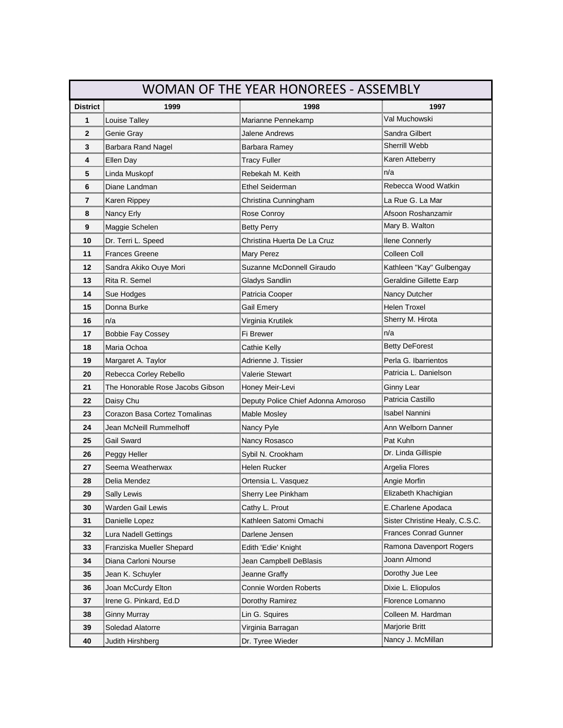| <b>WOMAN OF THE YEAR HONOREES - ASSEMBLY</b> |                                                |                                    |                                |
|----------------------------------------------|------------------------------------------------|------------------------------------|--------------------------------|
| <b>District</b>                              | 1999                                           | 1998                               | 1997                           |
| 1                                            | Louise Talley                                  | Marianne Pennekamp                 | Val Muchowski                  |
| $\mathbf{2}$<br>                             | Genie Gray                                     | Jalene Andrews                     | Sandra Gilbert                 |
| 3<br>                                        | Barbara Rand Nagel                             | Barbara Ramey                      | Sherrill Webb                  |
| 4                                            | Ellen Day                                      | Tracy Fuller                       | Karen Atteberry                |
| 5                                            | Linda Muskopf                                  | Rebekah M. Keith                   | n/a                            |
| 6<br>                                        | Diane Landman                                  | <b>Ethel Seiderman</b>             | Rebecca Wood Watkin            |
| 7<br>,,,,,,,,,,,,,,,                         |                                                | Christina Cunningham               |                                |
| 8                                            | Nancy Erly                                     | Rose Conroy                        | Afsoon Roshanzamir             |
| 9<br>,,,,,,,,,,,                             | Maggie Schelen                                 | Betty Perry                        | Mary B. Walton                 |
| 10                                           | Dr. Terri L. Speed                             | Christina Huerta De La Cruz        | <b>Ilene Connerly</b>          |
| 11                                           | <b>Frances Greene</b>                          | Mary Perez                         | Colleen Coll                   |
| 12                                           | Sandra Akiko Ouye Mori                         | Suzanne McDonnell Giraudo          | Kathleen "Kay" Gulbengay       |
| 13                                           | Rita R. Semel                                  | Gladys Sandlin                     | Geraldine Gillette Earp        |
| 14<br>                                       | Sue Hodges                                     | Patricia Cooper                    | Nancy Dutcher                  |
| 15                                           | Donna Burke                                    | Gail Emery                         | Helen Troxel                   |
| 16                                           | n/a                                            | Virginia Krutilek                  | Sherry M. Hirota               |
| 17                                           | Bobbie Fay Cossey                              | Fi Brewer                          | n/a                            |
| 18<br>                                       | Maria Ochoa                                    | Cathie Kelly                       | <b>Betty DeForest</b>          |
| 19                                           | Margaret A. Taylor                             | Adrienne J. Tissier                | Perla G. Ibarrientos           |
| 20                                           | Rebecca Corley Rebello                         | Valerie Stewart                    | Patricia L. Danielson          |
| 21<br>                                       |                                                |                                    | Ginny Lear                     |
| 22                                           | Daisy Chu                                      | Deputy Police Chief Adonna Amoroso | Patricia Castillo              |
| 23                                           | Corazon Basa Cortez Tomalinas                  | Mable Mosley                       | Isabel Nannini                 |
| 24                                           | Jean McNeill Rummelhof                         | Nancy Pyle                         | Ann Welborn Danneı             |
| 25<br>                                       | Gail Sward<br>,,,,,,,,,,,,,,,,,,,,,,,,,,,,,,,, | Nancy Rosasco                      | Pat Kuhn                       |
| 26                                           | Peggy Heller                                   | Sybil N. Crookham                  | Dr. Linda Gillispie            |
| 27                                           | Seema Weatherwax                               | Helen Rucker                       | Argelia Flores                 |
| 28                                           | Delia Mendez                                   |                                    | Angie Morfin                   |
| 29                                           | Sally Lewis                                    | Sherry Lee Pinkham                 | ⊨iizabeth Khachigian           |
| 30                                           | Warden Gail Lewis                              | Cathy L. Prout                     | E.Charlene Apodaca             |
| 31<br>                                       |                                                | Kathleen Satomi Omachi             | Sister Christine Healy, C.S.C. |
| 32                                           | Lura Nadell Gettings                           | Darlene Jensen                     | Frances Conrad Gunner          |
| 33                                           | Franziska Mueller Shepard                      | Edith 'Edie' Knight                | Ramona Davenport Rogers        |
| 34                                           | Diana Carloni Nourse                           | Jean Campbell DeBlasis             | Joann Almond                   |
| 35                                           | Jean K. Schuyler                               | Jeanne Graffy                      | Dorothy Jue Lee                |
| 36                                           | Joan McCurdy Elton                             | Connie Worden Roberts              |                                |
| 37                                           | Irene G. Pinkard, Ed.D                         | Dorothy Ramirez                    | Florence Lomanno               |
| 38                                           | Ginny Murray                                   | Lin G. Squires                     | Colleen M. Hardman             |
| 39                                           | Soledad Alatorre                               | Virginia Barragan                  | Marjorie Britt                 |
| 40                                           | Judith Hirshberg                               | Dr. Tyree Wieder                   | Nancy J. McMillan              |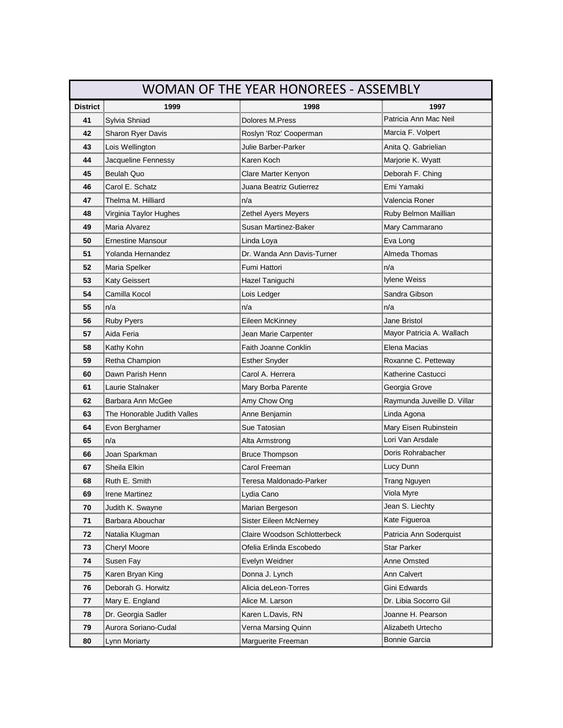| <b>WOMAN OF THE YEAR HONOREES - ASSEMBLY</b> |                                                        |                                                              |                             |
|----------------------------------------------|--------------------------------------------------------|--------------------------------------------------------------|-----------------------------|
| <b>District</b>                              | 1999                                                   | 1998                                                         | 1997                        |
| 41                                           | Sylvia Shniad                                          | Dolores M.Press                                              | Patricia Ann Mac Neil       |
| 42<br>                                       | Sharon Ryer Davis                                      | Roslyn 'Roz' Cooperman                                       | Marcia F. Volpert           |
| 43                                           | Lois Wellington                                        | Julie Barber-Parker                                          | Anita Q. Gabrielian         |
| 44                                           | Jacqueline Fennessy                                    | Karen Koch                                                   | Marjorie K. Wyatt           |
| 45                                           | Beulah Quo                                             | Clare Marter Kenyon                                          | Deborah F. Ching            |
| 46<br>,,,,,,,,,,,                            | Carol E. Schatz                                        | Juana Beatriz Gutierrez                                      | Emi Yamaki                  |
| 47<br>                                       | Thelma M. Hilliard                                     | n/a                                                          | Valencia Roner              |
| 48                                           | Virginia Taylor Hughes                                 | Zethel Ayers Meyers                                          | Ruby Belmon Maillian        |
| 49<br>,,,,,,,,,,                             | Maria Alvarez                                          | Susan Martinez-Baker                                         | Mary Cammarano              |
| 50                                           | Ernestine Mansour                                      | Linda Loya<br>'''''''''''''''''''''''''''''''                | Eva Long                    |
| 51                                           | Yolanda Hernandez                                      | Dr. Wanda Ann Davis-Turne                                    | Almeda Thomas               |
| 52                                           | Maria Spelker                                          | Fumi Hattori                                                 | n/a                         |
| 53                                           | Katy Geissert                                          | Hazel Taniguchi                                              | lylene Weiss                |
| 54<br>                                       | Camilla Kocol<br>,,,,,,,,,,,,,,,,,,,,,,,,,,,,,,,,,,,,, | _ois Ledger                                                  | Sandra Gibson               |
| 55                                           | n/a                                                    | n/a                                                          | n/a                         |
| 56                                           | Ruby Pyers                                             | Eileen McKinney                                              | Jane Bristol                |
| 57                                           | Aida Feria                                             | Jean Marie Carpenter                                         | Mayor Patricia A. Wallach   |
| 58<br>                                       | Kathy Kohn                                             | Faith Joanne Conklin<br>,,,,,,,,,,,,,,,,,,,,,,,,,,,,,,,,,,,, | Elena Macias                |
| 59                                           | Retha Champion                                         | Esther Snyder                                                | Roxanne C. Petteway         |
| 60                                           | Dawn Parish Henn                                       | Carol A. Herrera                                             | Katherine Castucci          |
| 61<br>                                       | Laurie Stalnaker                                       | Mary Borba Parente                                           | Georgia Grove               |
| 62                                           | Barbara Ann McGee                                      | Amy Chow Ong                                                 | Raymunda Juveille D. Villar |
| 63                                           | The Honorable Judith Valles                            | Anne Benjamin                                                | Linda Agona                 |
| 64                                           | Evon Berghamer                                         | Sue Tatosian                                                 | Mary Eisen Rubinstein       |
| 65<br>                                       | n/a                                                    | Alta Armstrong                                               | Lori Van Arsdale            |
| 66                                           | Joan Sparkman                                          | <b>Bruce Thompson</b>                                        | Doris Rohrabacher           |
| 67                                           | Sheila Elkin                                           | Carol Freeman                                                | Lucy Dunn                   |
| 68                                           | Ruth E. Smith                                          | Teresa Maldonado-Parker                                      | Trang Nguyen                |
| 69                                           | ∐Irene Martinez                                        | Lydia Cano                                                   | Viola Myre                  |
| 70                                           | Judith K. Swayne                                       | Marian Bergeson                                              | Jean S. Liechty             |
| 71                                           | Barbara Abouchar                                       | Sister Eileen McNerney                                       | Kate Figueroa               |
| 72                                           | Natalia Klugman                                        | Claire Woodson Schlotterbeck                                 | Patricia Ann Soderquist     |
| 73                                           | Cheryl Moore                                           | Ofelia Erlinda Escobedo                                      | Star Parker                 |
| 74                                           | Susen Fay                                              | Evelyn Weidner                                               | Anne Omsted                 |
| 75                                           | Karen Bryan King<br>                                   | Donna J. Lynch                                               | Ann Calvert                 |
| 76                                           | Deborah G. Horwitz                                     | Alicia deLeon-Torres                                         | Gini Edwards                |
| 77                                           | Mary E. England                                        | Alice M. Larson                                              | Dr. Libia Socorro Gil       |
| 78                                           | Dr. Georgia Sadler                                     | Karen L.Davis, RN                                            | Joanne H. Pearson           |
| 79                                           | Aurora Soriano-Cudal                                   | Verna Marsing Quinn                                          | Alizabeth Urtecho           |
| 80                                           | Lynn Moriarty                                          | Marguerite Freeman                                           | Bonnie Garcia               |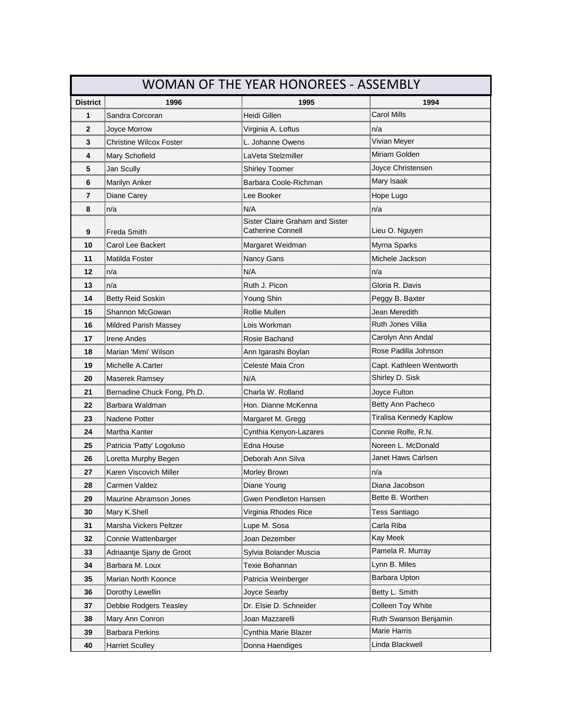| <b>WOMAN OF THE YEAR HONOREES - ASSEMBLY</b> |                             |                                                  |                              |
|----------------------------------------------|-----------------------------|--------------------------------------------------|------------------------------|
| <b>District</b>                              | 1996                        | 1995                                             | 1994                         |
| 1                                            | Sandra Corcoran             | Heidi Gillen<br>,,,,,,,,,,,,,,,,,,,,,,,,,,,,,,,, | Carol Mills<br>              |
| $\mathbf{2}$<br>                             | Joyce Morrow                |                                                  | n/a                          |
| 3                                            | Christine Wilcox Foster     | L. Johanne Owens                                 | Vivian Meyer                 |
| 4                                            | Mary Schofield              | LaVeta Stelzmiller                               | Miriam Golden                |
| 5                                            | Jan Scully                  | Shirley Toomer                                   | Joyce Christensen            |
| 6                                            | Marilyn Anker               | Barbara Coole-Richman                            | Mary Isaak                   |
| 7                                            | Diane Carey                 | Lee Booker                                       | Hope Lugo                    |
| 8                                            | n/a                         | N/A                                              | n/a                          |
|                                              |                             | Sister Claire Graham and Sister                  |                              |
| 9<br>                                        | <b>Freda Smith</b>          | Catherine Connell                                | Lieu O. Nguyen               |
| 10                                           | Carol Lee Backert           | Margaret Weidman                                 | Myrna Sparks                 |
| 11                                           | Matilda Foster              | Nancy Gans                                       | Michele Jackson              |
| 12<br>                                       | n/a                         | N/A                                              | n/a                          |
| 13                                           | n/a                         | Ruth J. Picon                                    | Gloria R. Davis              |
| 14                                           | <b>Betty Reid Soskin</b>    | Young Shin                                       | Peggy B. Baxter              |
| 15<br>                                       | Shannon McGowan             | Rollie Mullen                                    | Jean Meredith                |
| 16                                           | Mildred Parish Massey       | Lois Workman                                     | Ruth Jones Villia            |
| 17                                           | Irene Andes                 | Rosie Bachand                                    | Carolyn Ann Andal            |
| 18                                           | Marian 'Mimi' Wilson        | Ann Igarashi Boylan                              | Rose Padilla Johnson         |
| 19                                           | Michelle A.Carter           | Celeste Maia Cron                                | Capt. Kathleen Wentworth     |
| 20                                           | Maserek Ramsey              | N/A                                              | Shirley D. Sisk              |
| 21                                           | Bernadine Chuck Fong, Ph.D. | Charla W. Rolland                                | Joyce Fulton                 |
| 22<br>                                       | Barbara Waldman             | Hon. Dianne McKenna                              | Betty Ann Pacheco            |
| 23<br>                                       | Nadene Potter               | Margaret M. Gregg                                | Tiralisa Kennedy Kaplow      |
| 24                                           | Martha Kanter               | Cynthia Kenyon-Lazares                           | Connie Rolfe, R.N.           |
| 25                                           | Patricia 'Patty' Logoluso   | Edna House                                       | Noreen L. McDonald           |
| 26<br>                                       | Loretta Murphy Begen        | Deborah Ann Silva                                | Janet Haws Carlsen           |
| 27<br>,,,,,,,,,,,,,,,,                       | Karen Viscovich Miller      | Morley Brown<br>                                 | n/a                          |
| 28                                           | Carmen Valdez               | Diane Young                                      | Diana Jacobson               |
| 29                                           | Maurine Abramson Jones      | Gwen Pendleton Hansen                            | Bette B. Worthen             |
| 30                                           | Mary K.Shell                | Virginia Rhodes Rice                             | Tess Santiago                |
| 31                                           | Marsha Vickers Peltzer      | Lupe M. Sosa                                     | Carla Riba                   |
| 32                                           | Connie Wattenbarger         | Joan Dezember                                    | <b>Kay Meek</b>              |
| 33                                           | Adriaantje Sjany de Groot   | Sylvia Bolander Muscia                           | Pamela R. Murray             |
| 34<br>                                       | Barbara M. Loux             | Texie Bohannan                                   | Lynn B. Miles                |
| 35                                           | Marian North Koonce         | Patricia Weinberger                              | Barbara Upton                |
| 36                                           | Dorothy Lewellin            | Joyce Searby                                     | Betty L. Smith               |
| 37                                           | Debbie Rodgers Teasley      | Dr. Elsie D. Schneider                           | Colleen Toy White            |
| 38                                           | Mary Ann Conron             | Joan Mazzarelli                                  | Ruth Swanson Benjamin        |
| 39                                           | Barbara Perkins             | Cynthia Marie Blazer                             | Marie Harris                 |
| 40                                           | <b>Harriet Sculley</b>      | Donna Haendiges                                  | <sub>≣</sub> Linda Blackwell |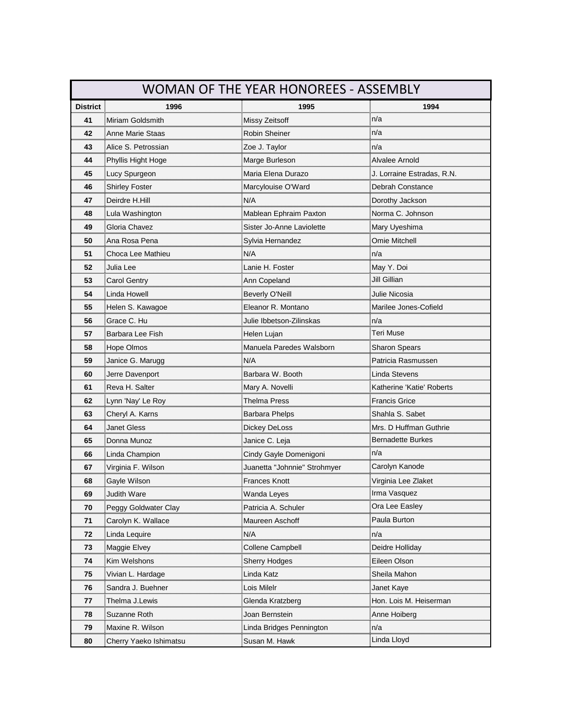| WOMAN OF THE YEAR HONOREES - ASSEMBLY |                                                             |                              |                                                    |
|---------------------------------------|-------------------------------------------------------------|------------------------------|----------------------------------------------------|
| <b>District</b>                       | 1996                                                        | 1995                         | 1994                                               |
| 41                                    | Miriam Goldsmith                                            | Missy Zeitsoff               | n/a                                                |
| 42                                    | Anne Marie Staas                                            | Robin Sheiner                | n/a                                                |
| <br>43                                | Alice S. Petrossian                                         | Zoe J. Taylor                | n/a                                                |
| ,,,,,,,,,,,<br>44                     | Phyllis Hight Hoge                                          | Marge Burleson               | Alvalee Arnold                                     |
| 45                                    | Lucy Spurgeon                                               | Maria Elena Durazo           | J. Lorraine Estradas, R.N.                         |
| 46                                    | Shirley Foster                                              | Marcylouise O'Ward           | Debrah Constance                                   |
| ,,,,,,,,,,<br>47                      | Deirdre H.Hill                                              | N/A                          | Dorothy Jackson                                    |
| 48                                    | Lula Washington                                             | Mablean Ephraim Paxton       | Norma C. Johnson                                   |
| 49                                    | Gloria Chavez                                               | Sister Jo-Anne Laviolette    | Mary Uyeshima                                      |
| <br>50                                | Ana Rosa Pena                                               | Sylvia Hernandez             | Omie Mitchell                                      |
| 51                                    | Choca Lee Mathieu<br>,,,,,,,,,,,,,,,,,,,,,,,,,,,,,,,,,,,,,, | N/A                          | n/a                                                |
| <br>52                                | Julia Lee                                                   | Lanie H. Foster              | May Y. Doi                                         |
| 53                                    | Carol Gentry                                                | Ann Copeland                 | Jill Gillian                                       |
| mmm<br>54<br>                         | Linda Howell                                                | Beverly O'Neill              | Julie Nicosia                                      |
| 55                                    | Helen S. Kawagoe                                            | Eleanor R. Montano           | Marilee Jones-Cofield                              |
| 56                                    | Grace C. Hu                                                 | Julie Ibbetson-Zilinskas     | n/a                                                |
| 57                                    | Barbara Lee Fish                                            | Helen Lujan                  | Teri Muse                                          |
| 58                                    | Hope Olmos                                                  | Manuela Paredes Walsborr     | Sharon Spears                                      |
| ,,,,,,,,,,,<br>59                     | Janice G. Marugg                                            | N/A                          | Patricia Rasmussen                                 |
| 60<br>                                | Jerre Davenport                                             | Barbara W. Booth             | Linda Stevens                                      |
| 61                                    | Reva H. Salter                                              | Mary A. Novelli              | Katherine 'Katie' Roberts                          |
| <br>62                                | Lynn 'Nay' Le Roy                                           | <b>Thelma Press</b>          | <b>Francis Grice</b>                               |
| 63                                    | Cheryl A. Karns                                             | Barbara Phelps               | Shahla S. Sabet                                    |
| 64                                    | Janet Gless                                                 | Dickey DeLoss                | Mrs. D Huffman Guthrie                             |
| 65                                    | Donna Munoz                                                 |                              | <b>Bernadette Burkes</b>                           |
| ,,,,,,,,,,<br>66                      | Linda Champion                                              | Cindy Gayle Domenigoni       | n/a                                                |
| 67                                    | Virginia F. Wilson                                          | Juanetta "Johnnie" Strohmyer | Carolyn Kanode                                     |
| 68                                    | Gayle Wilson                                                | <b>Frances Knott</b>         | Virginia Lee Zlaket                                |
| 69                                    | Judith Ware                                                 | Wanda Leyes                  | Irma Vasquez                                       |
| 70                                    | Peggy Goldwater Clay                                        | Patricia A. Schuler          | ,,,,,,,,,,,,,,,,,,,,,,,,,,,,,,,,<br>Ora Lee Easley |
| 71                                    | Carolyn K. Wallace                                          | Maureen Aschoff              | Paula Burton                                       |
| 72                                    | Linda Lequire                                               | N/A                          | n/a                                                |
| 73                                    | Maggie Elvey                                                | Collene Campbell             | Deidre Holliday                                    |
| 74                                    | Kim Welshons                                                | Sherry Hodges                | Eileen Olson                                       |
| 75<br>mmm                             | Vivian L. Hardage                                           | Linda Katz                   | Sheila Mahon                                       |
| 76                                    | Sandra J. Buehner                                           | Lois Milelr                  | Janet Kaye                                         |
| 77                                    | Thelma J.Lewis                                              | Glenda Kratzberg             | Hon. Lois M. Heiserman                             |
| 78                                    | Suzanne Roth                                                | Joan Bernstein               | Anne Hoiberg                                       |
| 79                                    | Maxine R. Wilson                                            |                              | n/a                                                |
| 80                                    | Cherry Yaeko Ishimatsu                                      | Susan M. Hawk                | Linda Lloyd                                        |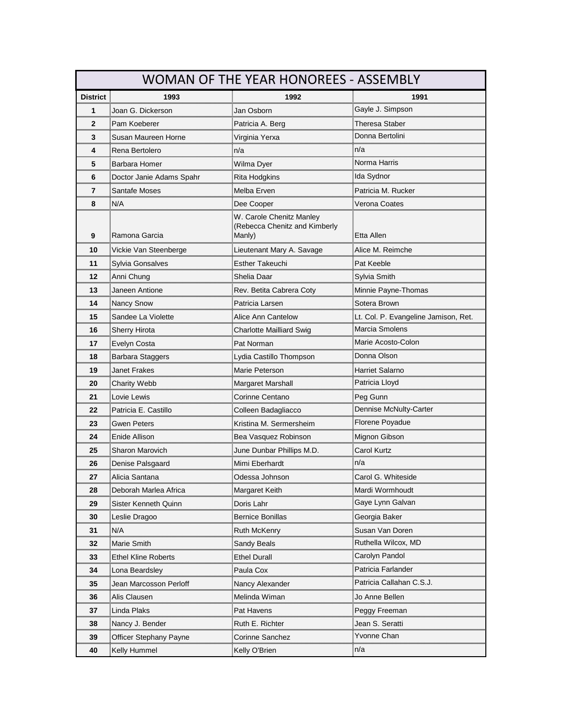| <b>WOMAN OF THE YEAR HONOREES - ASSEMBLY</b> |                            |                                                                     |                                      |
|----------------------------------------------|----------------------------|---------------------------------------------------------------------|--------------------------------------|
| <b>District</b>                              | 1993                       | 1992                                                                | 1991                                 |
| 1                                            | Joan G. Dickerson          | Jan Osborn                                                          | Gayle J. Simpson                     |
| $\mathbf{2}$<br>                             | Pam Koeberer               | Patricia A. Berg                                                    | Theresa Staber                       |
| 3                                            | Susan Maureen Horne        | Virginia Yerxa                                                      | Donna Bertolini                      |
| 4                                            | Rena Bertolero             | n/a                                                                 | n/a                                  |
| 5<br>,,,,,,,,,,,,,,                          | Barbara Homer              | Wilma Dyer                                                          | Norma Harris                         |
| 6<br>                                        | Doctor Janie Adams Spahr   | Rita Hodgkins                                                       | Ida Sydnor<br>                       |
| 7                                            | Santafe Moses              | Melba Erven                                                         | Patricia M. Rucker                   |
| 8                                            | N/A                        | Dee Cooper                                                          | Verona Coates                        |
| 9                                            | Ramona Garcia              | W. Carole Chenitz Manley<br>(Rebecca Chenitz and Kimberly<br>Manly) | Etta Allen                           |
| 10                                           |                            | Lieutenant Mary A. Savage                                           | Alice M. Reimche                     |
| 11                                           | Sylvia Gonsalves           | Esther Takeuchi                                                     | Pat Keeble                           |
| 12                                           | Anni Chung                 | Shelia Daar                                                         | Sylvia Smith                         |
| 13                                           | Janeen Antione             | Rev. Betita Cabrera Coty                                            | Minnie Payne-Thomas                  |
| 14                                           | Nancy Snow                 | Patricia Larsen                                                     | Sotera Brown                         |
| 15                                           | Sandee La Violette         | Alice Ann Cantelow                                                  | Lt. Col. P. Evangeline Jamison, Ret. |
| 16                                           | <b>Sherry Hirota</b>       | Charlotte Mailliard Swig                                            | Marcia Smolens                       |
| 17                                           | Evelyn Costa               | Pat Norman                                                          | Marie Acosto-Colon                   |
| 18                                           | Barbara Staggers           | Lydia Castillo Thompson                                             | Donna Olson                          |
| 19                                           | Janet Frakes               | Marie Peterson                                                      | Harriet Salarno                      |
| 20<br>                                       | Charity Webb               | Margaret Marshall                                                   | Patricia Lloyd                       |
| 21                                           | Lovie Lewis                | Corinne Centano                                                     | Peg Gunn                             |
| 22                                           | Patricia E. Castillo       | Colleen Badagliacco                                                 | Dennise McNulty-Carter               |
| 23<br>                                       | Gwen Peters                | Kristina M. Sermersheim                                             | Florene Poyadue                      |
| 24<br>                                       | Enide Allison              | Bea Vasquez Robinson                                                | Mignon Gibson                        |
| 25                                           | Sharon Marovich            | June Dunbar Phillips M.D.                                           | Carol Kurtz                          |
| 26                                           | Denise Palsgaard           | Mimi Eberhardt                                                      | n/a                                  |
| 27                                           | Alicia Santana             | Odessa Johnson                                                      | Carol G. Whiteside                   |
| 28                                           | Deborah Marlea Africa      | Margaret Keith                                                      | Mardi Wormhoudt                      |
| 29                                           | Sister Kenneth Quinn       | Doris Lahr                                                          | Gaye Lynn Galvan                     |
| 30                                           | Leslie Dragoo              | Bernice Bonillas                                                    | Georgia Baker                        |
| 31                                           | N/A                        | Ruth McKenry                                                        | Susan Van Doren                      |
| 32                                           | Marie Smith                | Sandy Beals                                                         | Ruthella Wilcox, MD                  |
| 33                                           | <b>Ethel Kline Roberts</b> | <b>Ethel Durall</b>                                                 | Carolyn Pandol                       |
| 34                                           | Lona Beardsley             | Paula Cox                                                           | Patricia Farlander                   |
| 35                                           | Jean Marcosson Perloff     | Nancy Alexander                                                     | Patricia Callahan C.S.J.             |
| 36                                           | Alis Clausen               | Melinda Wiman                                                       | Jo Anne Bellen                       |
| 37                                           | Linda Plaks                | Pat Havens                                                          | Peggy Freeman                        |
| 38                                           | Nancy J. Bender            | Ruth E. Richter                                                     | Jean S. Seratti                      |
| 39                                           | Officer Stephany Payne     | Corinne Sanchez                                                     | Yvonne Chan                          |
| 40                                           | Kelly Hummel               | Kelly O'Brien                                                       | ≣n/a                                 |